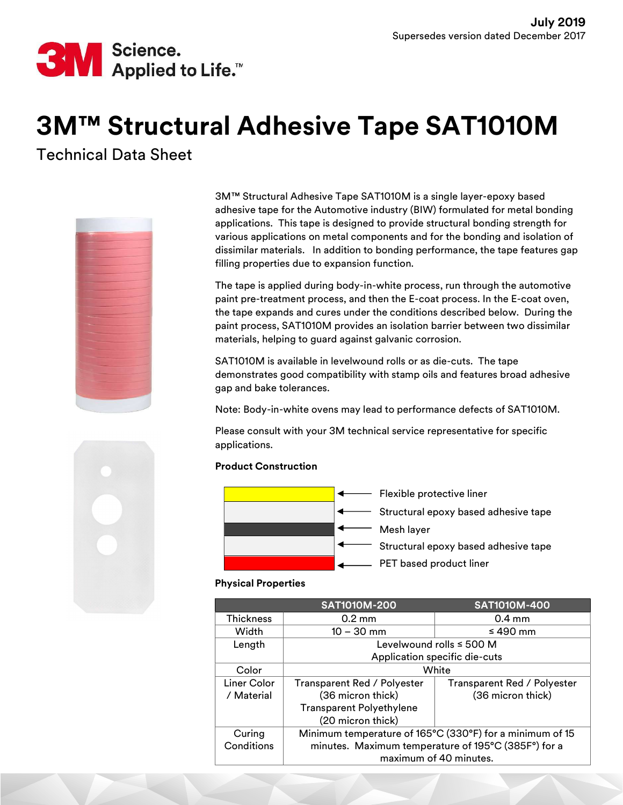

# 3M™ Structural Adhesive Tape SAT1010M

Technical Data Sheet



3M™ Structural Adhesive Tape SAT1010M is a single layer-epoxy based adhesive tape for the Automotive industry (BIW) formulated for metal bonding applications. This tape is designed to provide structural bonding strength for various applications on metal components and for the bonding and isolation of dissimilar materials. In addition to bonding performance, the tape features gap filling properties due to expansion function.

The tape is applied during body-in-white process, run through the automotive paint pre-treatment process, and then the E-coat process. In the E-coat oven, the tape expands and cures under the conditions described below. During the paint process, SAT1010M provides an isolation barrier between two dissimilar materials, helping to guard against galvanic corrosion.

SAT1010M is available in levelwound rolls or as die-cuts. The tape demonstrates good compatibility with stamp oils and features broad adhesive gap and bake tolerances.

Note: Body-in-white ovens may lead to performance defects of SAT1010M.

Please consult with your 3M technical service representative for specific applications.

## Product Construction



## Physical Properties

|                  | <b>SAT1010M-200</b>                                      | <b>SAT1010M-400</b>         |  |
|------------------|----------------------------------------------------------|-----------------------------|--|
| <b>Thickness</b> | $0.2 \text{ mm}$                                         | $0.4 \text{ mm}$            |  |
| Width            | $10 - 30$ mm                                             | $\leq 490$ mm               |  |
| Length           | Levelwound rolls $\leq 500$ M                            |                             |  |
|                  | Application specific die-cuts                            |                             |  |
| Color            | White                                                    |                             |  |
| Liner Color      | Transparent Red / Polyester                              | Transparent Red / Polyester |  |
| / Material       | (36 micron thick)                                        | (36 micron thick)           |  |
|                  | <b>Transparent Polyethylene</b>                          |                             |  |
|                  | (20 micron thick)                                        |                             |  |
| Curing           | Minimum temperature of 165°C (330°F) for a minimum of 15 |                             |  |
| Conditions       | minutes. Maximum temperature of 195°C (385F°) for a      |                             |  |
|                  | maximum of 40 minutes.                                   |                             |  |

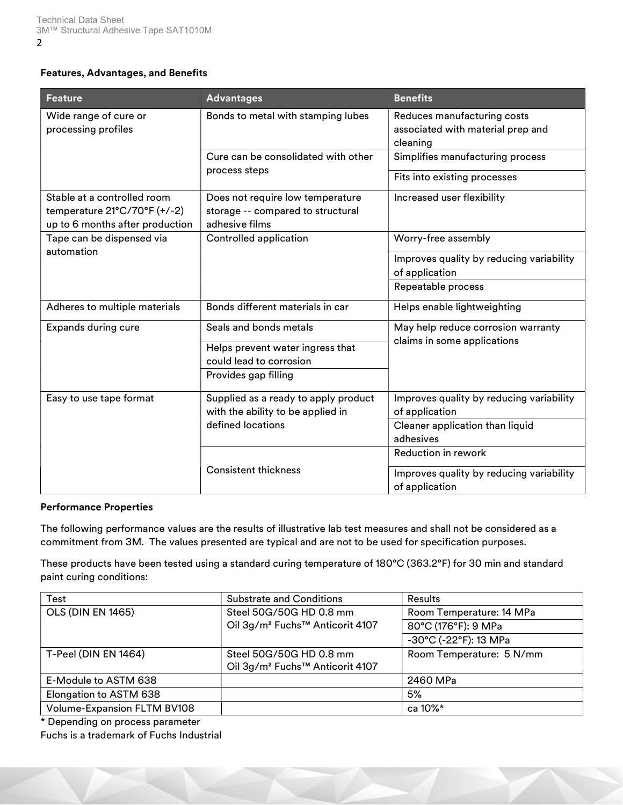## Features, Advantages, and Benefits

| <b>Feature</b>                                                                                 | <b>Advantages</b>                                                                       | <b>Benefits</b>                                                              |  |
|------------------------------------------------------------------------------------------------|-----------------------------------------------------------------------------------------|------------------------------------------------------------------------------|--|
| Wide range of cure or<br>processing profiles                                                   | Bonds to metal with stamping lubes                                                      | Reduces manufacturing costs<br>associated with material prep and<br>cleaning |  |
|                                                                                                | Cure can be consolidated with other<br>process steps                                    | Simplifies manufacturing process                                             |  |
|                                                                                                |                                                                                         | Fits into existing processes                                                 |  |
| Stable at a controlled room<br>temperature 21°C/70°F (+/-2)<br>up to 6 months after production | Does not require low temperature<br>storage -- compared to structural<br>adhesive films | Increased user flexibility                                                   |  |
| Tape can be dispensed via                                                                      | Controlled application                                                                  | Worry-free assembly                                                          |  |
| automation                                                                                     |                                                                                         | Improves quality by reducing variability<br>of application                   |  |
|                                                                                                |                                                                                         | Repeatable process                                                           |  |
| Adheres to multiple materials                                                                  | Bonds different materials in car                                                        | Helps enable lightweighting                                                  |  |
| Expands during cure                                                                            | Seals and bonds metals                                                                  | May help reduce corrosion warranty                                           |  |
|                                                                                                | Helps prevent water ingress that<br>could lead to corrosion                             | claims in some applications                                                  |  |
|                                                                                                | Provides gap filling                                                                    |                                                                              |  |
| Easy to use tape format                                                                        | Supplied as a ready to apply product<br>with the ability to be applied in               | Improves quality by reducing variability<br>of application                   |  |
|                                                                                                | defined locations                                                                       | Cleaner application than liquid<br>adhesives                                 |  |
|                                                                                                |                                                                                         | Reduction in rework                                                          |  |
|                                                                                                | <b>Consistent thickness</b>                                                             | Improves quality by reducing variability<br>of application                   |  |

#### Performance Properties

The following performance values are the results of illustrative lab test measures and shall not be considered as a commitment from 3M. The values presented are typical and are not to be used for specification purposes.

These products have been tested using a standard curing temperature of 180°C (363.2°F) for 30 min and standard paint curing conditions:

| Test                               | <b>Substrate and Conditions</b>                         | <b>Results</b>           |
|------------------------------------|---------------------------------------------------------|--------------------------|
| <b>OLS (DIN EN 1465)</b>           | Steel 50G/50G HD 0.8 mm                                 | Room Temperature: 14 MPa |
|                                    | Oil 3g/m <sup>2</sup> Fuchs <sup>™</sup> Anticorit 4107 | 80°C (176°F): 9 MPa      |
|                                    |                                                         | -30°C (-22°F): 13 MPa    |
| T-Peel (DIN EN 1464)               | Steel 50G/50G HD 0.8 mm                                 | Room Temperature: 5 N/mm |
|                                    | Oil 3g/m <sup>2</sup> Fuchs <sup>™</sup> Anticorit 4107 |                          |
| E-Module to ASTM 638               |                                                         | 2460 MPa                 |
| Elongation to ASTM 638             |                                                         | 5%                       |
| <b>Volume-Expansion FLTM BV108</b> |                                                         | ca 10%*                  |

\* Depending on process parameter

Fuchs is a trademark of Fuchs Industrial